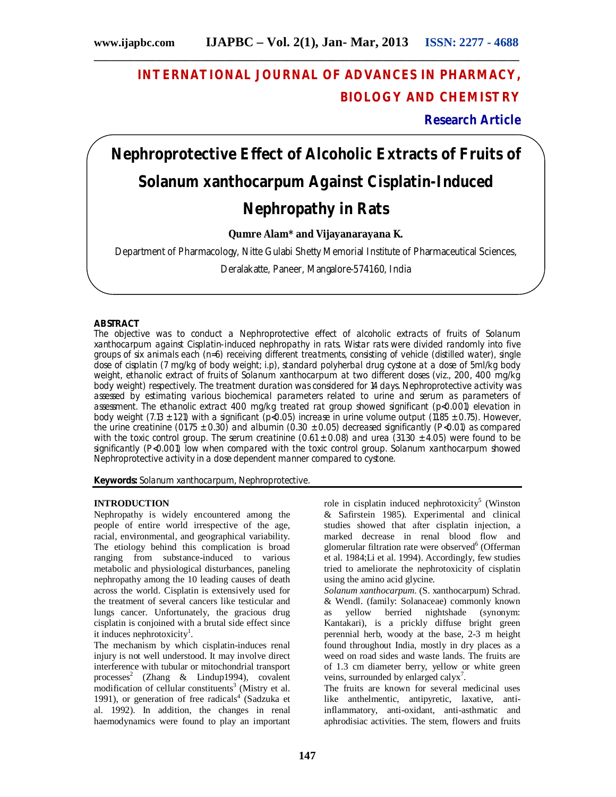# **INTERNATIONAL JOURNAL OF ADVANCES IN PHARMACY, BIOLOGY AND CHEMISTRY**

**Research Article**

# **Nephroprotective Effect of Alcoholic Extracts of Fruits of**  *Solanum xanthocarpum* **Against Cisplatin-Induced Nephropathy in Rats**

**Qumre Alam\* and Vijayanarayana K.**

Department of Pharmacology, Nitte Gulabi Shetty Memorial Institute of Pharmaceutical Sciences,

Deralakatte, Paneer, Mangalore-574160, India

# **ABSTRACT**

The objective was to conduct a Nephroprotective effect of alcoholic extracts of fruits of *Solanum xanthocarpum* against Cisplatin-induced nephropathy in rats. Wistar rats were divided randomly into five groups of six animals each (n=6) receiving different treatments, consisting of vehicle (distilled water), single dose of cisplatin (7 mg/kg of body weight; i.p), standard polyherbal drug cystone at a dose of 5ml/kg body weight, ethanolic extract of fruits of *Solanum xanthocarpum* at two different doses (viz., 200, 400 mg/kg body weight) respectively. The treatment duration was considered for 14 days. Nephroprotective activity was assessed by estimating various biochemical parameters related to urine and serum as parameters of assessment. The ethanolic extract 400 mg/kg treated rat group showed significant (p<0.001) elevation in body weight (7.13  $\pm$  1.21) with a significant (p<0.05) increase in urine volume output (11.85  $\pm$  0.75). However, the urine creatinine (01.75  $\pm$  0.30) and albumin (0.30  $\pm$  0.05) decreased significantly (P<0.01) as compared with the toxic control group. The serum creatinine (0.61  $\pm$  0.08) and urea (31.30  $\pm$  4.05) were found to be significantly (P<0.001) low when compared with the toxic control group. *Solanum xanthocarpum* showed Nephroprotective activity in a dose dependent manner compared to cystone.

**Keywords:** *Solanum xanthocarpum,* Nephroprotective.

### **INTRODUCTION**

Nephropathy is widely encountered among the people of entire world irrespective of the age, racial, environmental, and geographical variability. The etiology behind this complication is broad ranging from substance-induced to various metabolic and physiological disturbances, paneling nephropathy among the 10 leading causes of death across the world. Cisplatin is extensively used for the treatment of several cancers like testicular and lungs cancer. Unfortunately, the gracious drug cisplatin is conjoined with a brutal side effect since it induces nephrotoxicity<sup>1</sup>.

The mechanism by which cisplatin-induces renal injury is not well understood. It may involve direct interference with tubular or mitochondrial transport processes<sup>2</sup> (Zhang & Lindup1994), covalent  $m$ odification of cellular constituents<sup>3</sup> (Mistry et al. 1991), or generation of free radicals<sup>4</sup> (Sadzuka et al. 1992). In addition, the changes in renal haemodynamics were found to play an important

role in cisplatin induced nephrotoxicity<sup>5</sup> (Winston & Safirstein 1985). Experimental and clinical studies showed that after cisplatin injection, a marked decrease in renal blood flow and glomerular filtration rate were observed<sup>6</sup> (Offerman et al. 1984;Li et al. 1994). Accordingly, few studies tried to ameliorate the nephrotoxicity of cisplatin using the amino acid glycine.

*Solanum xanthocarpum*. (S. xanthocarpum) Schrad. & Wendl. (family: Solanaceae) commonly known as yellow berried nightshade (synonym: Kantakari), is a prickly diffuse bright green perennial herb, woody at the base, 2-3 m height found throughout India, mostly in dry places as a weed on road sides and waste lands. The fruits are of 1.3 cm diameter berry, yellow or white green veins, surrounded by enlarged calyx<sup>7</sup>.

The fruits are known for several medicinal uses like anthelmentic, antipyretic, laxative, antiinflammatory, anti-oxidant, anti-asthmatic and aphrodisiac activities. The stem, flowers and fruits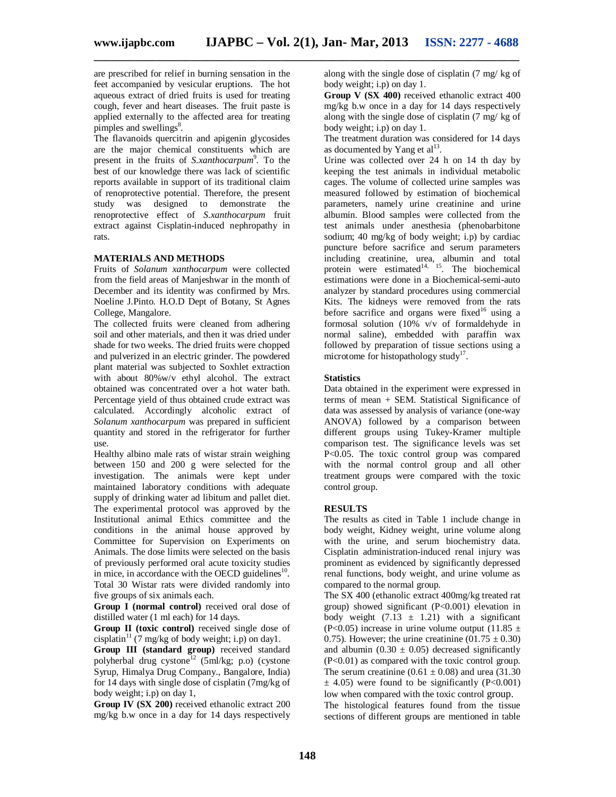**\_\_\_\_\_\_\_\_\_\_\_\_\_\_\_\_\_\_\_\_\_\_\_\_\_\_\_\_\_\_\_\_\_\_\_\_\_\_\_\_\_\_\_\_\_\_\_\_\_\_\_\_\_\_\_\_\_\_\_\_\_\_\_\_\_\_\_\_\_\_\_\_\_\_\_**

are prescribed for relief in burning sensation in the feet accompanied by vesicular eruptions. The hot aqueous extract of dried fruits is used for treating cough, fever and heart diseases. The fruit paste is applied externally to the affected area for treating pimples and swellings<sup>8</sup>.

The flavanoids quercitrin and apigenin glycosides are the major chemical constituents which are present in the fruits of *S.xanthocarpum*<sup>9</sup>. To the best of our knowledge there was lack of scientific reports available in support of its traditional claim of renoprotective potential. Therefore, the present study was designed to demonstrate the renoprotective effect of *S.xanthocarpum* fruit extract against Cisplatin-induced nephropathy in rats.

# **MATERIALS AND METHODS**

Fruits of *Solanum xanthocarpum* were collected from the field areas of Manjeshwar in the month of December and its identity was confirmed by Mrs. Noeline J.Pinto. H.O.D Dept of Botany, St Agnes College, Mangalore.

The collected fruits were cleaned from adhering soil and other materials, and then it was dried under shade for two weeks. The dried fruits were chopped and pulverized in an electric grinder. The powdered plant material was subjected to Soxhlet extraction with about 80%w/v ethyl alcohol. The extract obtained was concentrated over a hot water bath. Percentage yield of thus obtained crude extract was calculated. Accordingly alcoholic extract of *Solanum xanthocarpum* was prepared in sufficient quantity and stored in the refrigerator for further use.

Healthy albino male rats of wistar strain weighing between 150 and 200 g were selected for the investigation. The animals were kept under maintained laboratory conditions with adequate supply of drinking water ad libitum and pallet diet. The experimental protocol was approved by the Institutional animal Ethics committee and the conditions in the animal house approved by Committee for Supervision on Experiments on Animals. The dose limits were selected on the basis of previously performed oral acute toxicity studies in mice, in accordance with the OECD guidelines $10$ . Total 30 Wistar rats were divided randomly into five groups of six animals each.

**Group I (normal control)** received oral dose of distilled water (1 ml each) for 14 days.

**Group II (toxic control)** received single dose of cisplatin<sup>11</sup> (7 mg/kg of body weight; i.p) on day1.

**Group III (standard group)** received standard polyherbal drug cystone<sup>12</sup> (5ml/kg; p.o) (cystone Syrup, Himalya Drug Company., Bangalore, India) for 14 days with single dose of cisplatin (7mg/kg of body weight; i.p) on day 1,

**Group IV (SX 200)** received ethanolic extract 200 mg/kg b.w once in a day for 14 days respectively

along with the single dose of cisplatin (7 mg/ kg of body weight; i.p) on day 1.

**Group V (SX 400)** received ethanolic extract 400 mg/kg b.w once in a day for 14 days respectively along with the single dose of cisplatin (7 mg/ kg of body weight; i.p) on day 1.

The treatment duration was considered for 14 days as documented by Yang et  $al<sup>13</sup>$ .

Urine was collected over 24 h on 14 th day by keeping the test animals in individual metabolic cages. The volume of collected urine samples was measured followed by estimation of biochemical parameters, namely urine creatinine and urine albumin. Blood samples were collected from the test animals under anesthesia (phenobarbitone sodium; 40 mg/kg of body weight; i.p) by cardiac puncture before sacrifice and serum parameters including creatinine, urea, albumin and total protein were estimated $14, 15$ . The biochemical estimations were done in a Biochemical-semi-auto analyzer by standard procedures using commercial Kits. The kidneys were removed from the rats before sacrifice and organs were fixed<sup>16</sup> using a formosal solution (10% v/v of formaldehyde in normal saline), embedded with paraffin wax followed by preparation of tissue sections using a microtome for histopathology study<sup>17</sup>.

# **Statistics**

Data obtained in the experiment were expressed in terms of mean + SEM. Statistical Significance of data was assessed by analysis of variance (one-way ANOVA) followed by a comparison between different groups using Tukey-Kramer multiple comparison test. The significance levels was set P<0.05. The toxic control group was compared with the normal control group and all other treatment groups were compared with the toxic control group.

# **RESULTS**

The results as cited in Table 1 include change in body weight, Kidney weight, urine volume along with the urine, and serum biochemistry data. Cisplatin administration-induced renal injury was prominent as evidenced by significantly depressed renal functions, body weight, and urine volume as compared to the normal group.

The SX 400 (ethanolic extract 400mg/kg treated rat group) showed significant (P<0.001) elevation in body weight  $(7.13 \pm 1.21)$  with a significant (P<0.05) increase in urine volume output (11.85  $\pm$ 0.75). However; the urine creatinine  $(01.75 \pm 0.30)$ and albumin ( $0.30 \pm 0.05$ ) decreased significantly (P<0.01) as compared with the toxic control group. The serum creatinine  $(0.61 \pm 0.08)$  and urea (31.30)  $\pm$  4.05) were found to be significantly (P<0.001) low when compared with the toxic control group.

The histological features found from the tissue sections of different groups are mentioned in table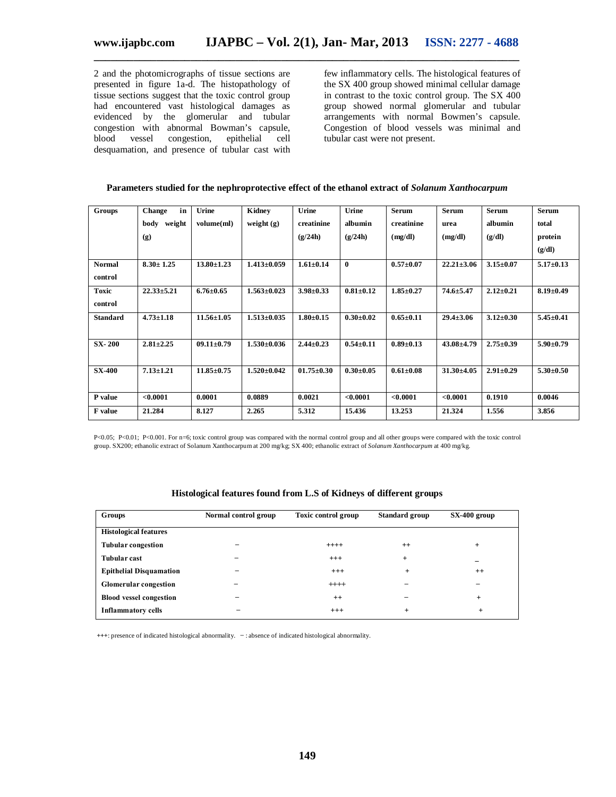2 and the photomicrographs of tissue sections are presented in figure 1a-d. The histopathology of tissue sections suggest that the toxic control group had encountered vast histological damages as evidenced by the glomerular and tubular congestion with abnormal Bowman's capsule, blood vessel congestion, epithelial cell desquamation, and presence of tubular cast with

few inflammatory cells. The histological features of the SX 400 group showed minimal cellular damage in contrast to the toxic control group. The SX 400 group showed normal glomerular and tubular arrangements with normal Bowmen's capsule. Congestion of blood vessels was minimal and tubular cast were not present.

| Parameters studied for the nephroprotective effect of the ethanol extract of Solanum Xanthocarpum |
|---------------------------------------------------------------------------------------------------|
|---------------------------------------------------------------------------------------------------|

| Groups          | in<br>Change    | Urine            | Kidney            | Urine            | Urine           | <b>Serum</b>    | <b>Serum</b>     | <b>Serum</b>    | <b>Serum</b>    |
|-----------------|-----------------|------------------|-------------------|------------------|-----------------|-----------------|------------------|-----------------|-----------------|
|                 | body<br>weight  | volume(ml)       | weight $(g)$      | creatinine       | albumin         | creatinine      | urea             | albumin         | total           |
|                 | (g)             |                  |                   | (g/24h)          | (g/24h)         | (mg/dl)         | (mg/dl)          | (g/dl)          | protein         |
|                 |                 |                  |                   |                  |                 |                 |                  |                 | (g/dl)          |
| <b>Normal</b>   | $8.30 \pm 1.25$ | $13.80 \pm 1.23$ | $1.413 \pm 0.059$ | $1.61 \pm 0.14$  | $\mathbf{0}$    | $0.57 + 0.07$   | $22.21 \pm 3.06$ | $3.15 \pm 0.07$ | $5.17 \pm 0.13$ |
| control         |                 |                  |                   |                  |                 |                 |                  |                 |                 |
| <b>Toxic</b>    | $22.33 + 5.21$  | $6.76 \pm 0.65$  | $1.563 \pm 0.023$ | $3.98 \pm 0.33$  | $0.81 + 0.12$   | $1.85 + 0.27$   | $74.6 \pm 5.47$  | $2.12 + 0.21$   | $8.19 \pm 0.49$ |
| control         |                 |                  |                   |                  |                 |                 |                  |                 |                 |
| <b>Standard</b> | $4.73 \pm 1.18$ | $11.56 \pm 1.05$ | $1.513 \pm 0.035$ | $1.80 \pm 0.15$  | $0.30 - 0.02$   | $0.65 \pm 0.11$ | $29.4 \pm 3.06$  | $3.12 \pm 0.30$ | $5.45 \pm 0.41$ |
|                 |                 |                  |                   |                  |                 |                 |                  |                 |                 |
| <b>SX-200</b>   | $2.81 \pm 2.25$ | $09.11 \pm 0.79$ | $1.530+0.036$     | $2.44 \pm 0.23$  | $0.54 \pm 0.11$ | $0.89 \pm 0.13$ | $43.08 \pm 4.79$ | $2.75 + 0.39$   | $5.90\pm0.79$   |
|                 |                 |                  |                   |                  |                 |                 |                  |                 |                 |
| <b>SX-400</b>   | $7.13 \pm 1.21$ | $11.85 \pm 0.75$ | $1.520 \pm 0.042$ | $01.75 \pm 0.30$ | $0.30 - 0.05$   | $0.61 \pm 0.08$ | $31.30 \pm 4.05$ | $2.91 \pm 0.29$ | $5.30\pm0.50$   |
|                 |                 |                  |                   |                  |                 |                 |                  |                 |                 |
| P value         | < 0.0001        | 0.0001           | 0.0889            | 0.0021           | < 0.0001        | < 0.0001        | < 0.0001         | 0.1910          | 0.0046          |
| F value         | 21.284          | 8.127            | 2.265             | 5.312            | 15.436          | 13.253          | 21.324           | 1.556           | 3.856           |

P<0.05; P<0.01; P<0.001. For n=6; toxic control group was compared with the normal control group and all other groups were compared with the toxic control group. SX200; ethanolic extract of Solanum Xanthocarpum at 200 mg/kg; SX 400; ethanolic extract of *Solanum Xanthocarpum* at 400 mg/kg.

| Groups                         | Normal control group | Toxic control group | <b>Standard group</b> | $SX-400$ group |
|--------------------------------|----------------------|---------------------|-----------------------|----------------|
| <b>Histological features</b>   |                      |                     |                       |                |
| <b>Tubular congestion</b>      |                      | $+++++$             | $^{++}$               | $\ddot{}$      |
| <b>Tubular cast</b>            |                      | $^{+++}$            | $+$                   | -              |
| <b>Epithelial Disquamation</b> |                      | $^{+++}$            | $\ddot{}$             | $^{++}$        |
| <b>Glomerular congestion</b>   |                      | $++++$              |                       |                |
| <b>Blood vessel congestion</b> |                      | $^{++}$             |                       | $\ddot{}$      |
| <b>Inflammatory cells</b>      |                      | $+++$               | $\ddot{}$             | $^{+}$         |

### **Histological features found from L.S of Kidneys of different groups**

**+++**: presence of indicated histological abnormality. **̶** : absence of indicated histological abnormality.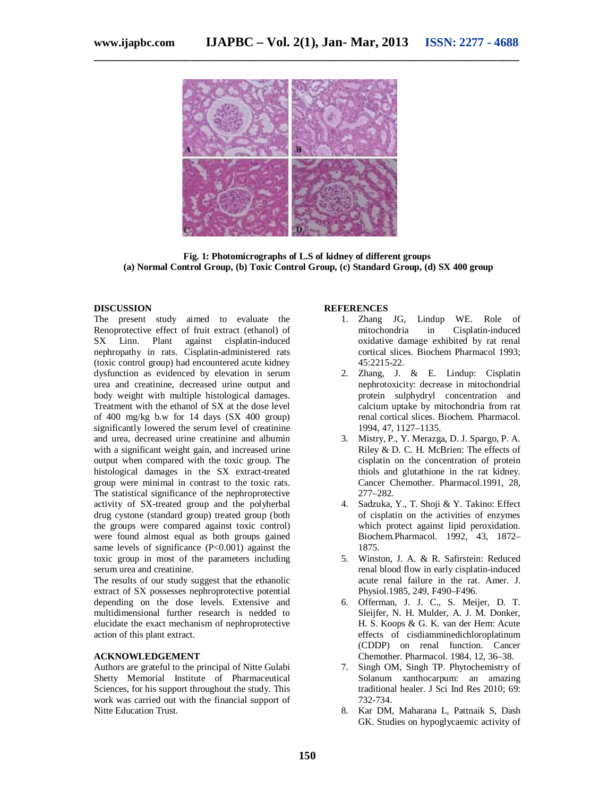

**\_\_\_\_\_\_\_\_\_\_\_\_\_\_\_\_\_\_\_\_\_\_\_\_\_\_\_\_\_\_\_\_\_\_\_\_\_\_\_\_\_\_\_\_\_\_\_\_\_\_\_\_\_\_\_\_\_\_\_\_\_\_\_\_\_\_\_\_\_\_\_\_\_\_\_**

**Fig. 1: Photomicrographs of L.S of kidney of different groups (a) Normal Control Group, (b) Toxic Control Group, (c) Standard Group, (d) SX 400 group**

#### **DISCUSSION**

The present study aimed to evaluate the Renoprotective effect of fruit extract (ethanol) of SX Linn. Plant against cisplatin-induced Linn. Plant against cisplatin-induced nephropathy in rats. Cisplatin-administered rats (toxic control group) had encountered acute kidney dysfunction as evidenced by elevation in serum urea and creatinine, decreased urine output and body weight with multiple histological damages. Treatment with the ethanol of SX at the dose level of 400 mg/kg b.w for 14 days (SX 400 group) significantly lowered the serum level of creatinine and urea, decreased urine creatinine and albumin with a significant weight gain, and increased urine output when compared with the toxic group. The histological damages in the SX extract-treated group were minimal in contrast to the toxic rats. The statistical significance of the nephroprotective activity of SX-treated group and the polyherbal drug cystone (standard group) treated group (both the groups were compared against toxic control) were found almost equal as both groups gained same levels of significance (P<0.001) against the toxic group in most of the parameters including serum urea and creatinine.

The results of our study suggest that the ethanolic extract of SX possesses nephroprotective potential depending on the dose levels. Extensive and multidimensional further research is nedded to elucidate the exact mechanism of nephroprotective action of this plant extract.

#### **ACKNOWLEDGEMENT**

Authors are grateful to the principal of Nitte Gulabi Shetty Memorial Institute of Pharmaceutical Sciences, for his support throughout the study. This work was carried out with the financial support of Nitte Education Trust.

#### **REFERENCES**

- 1. Zhang JG, Lindup WE. Role of mitochondria in Cisplatin-induced oxidative damage exhibited by rat renal cortical slices. Biochem Pharmacol 1993; 45:2215-22.
- 2. Zhang, J. & E. Lindup: Cisplatin nephrotoxicity: decrease in mitochondrial protein sulphydryl concentration and calcium uptake by mitochondria from rat renal cortical slices. Biochem. Pharmacol. 1994, 47, 1127–1135.
- 3. Mistry, P., Y. Merazga, D. J. Spargo, P. A. Riley & D. C. H. McBrien: The effects of cisplatin on the concentration of protein thiols and glutathione in the rat kidney. Cancer Chemother. Pharmacol.1991, 28, 277–282.
- 4. Sadzuka, Y., T. Shoji & Y. Takino: Effect of cisplatin on the activities of enzymes which protect against lipid peroxidation. Biochem.Pharmacol. 1992, 43, 1872– 1875.
- 5. Winston, J. A. & R. Safirstein: Reduced renal blood flow in early cisplatin-induced acute renal failure in the rat. Amer. J. Physiol.1985, 249, F490–F496.
- 6. Offerman, J. J. C., S. Meijer, D. T. Sleijfer, N. H. Mulder, A. J. M. Donker, H. S. Koops & G. K. van der Hem: Acute effects of cisdiamminedichloroplatinum (CDDP) on renal function. Cancer Chemother. Pharmacol. 1984, 12, 36–38.
- 7. Singh OM, Singh TP. Phytochemistry of Solanum xanthocarpum: an amazing traditional healer. J Sci Ind Res 2010; 69: 732-734.
- 8. Kar DM, Maharana L, Pattnaik S, Dash GK. Studies on hypoglycaemic activity of